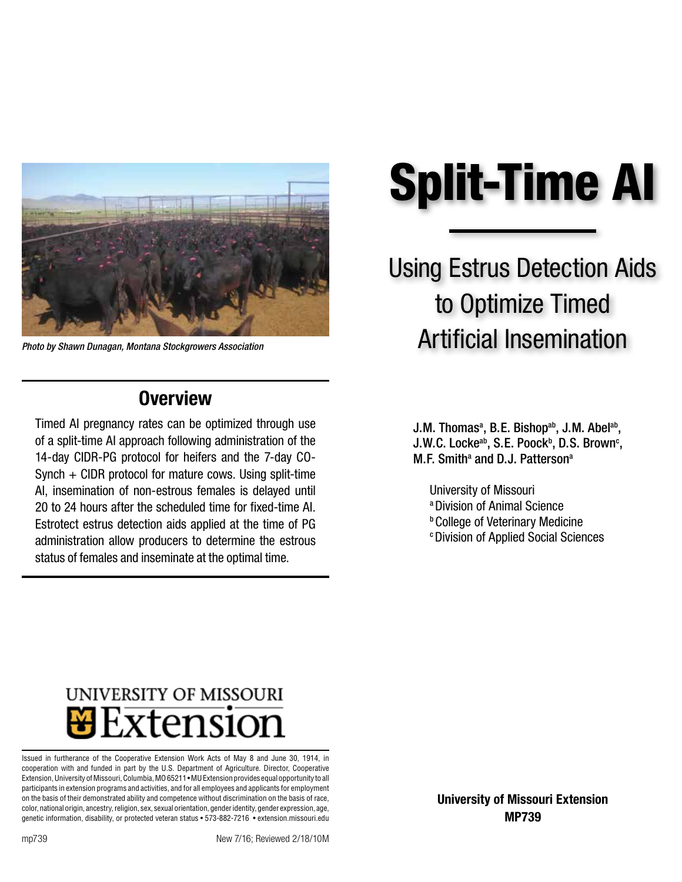

*Photo by Shawn Dunagan, Montana Stockgrowers Association*

### **Overview**

Timed AI pregnancy rates can be optimized through use of a split-time AI approach following administration of the 14-day CIDR-PG protocol for heifers and the 7-day CO-Synch + CIDR protocol for mature cows. Using split-time AI, insemination of non-estrous females is delayed until 20 to 24 hours after the scheduled time for fixed-time AI. Estrotect estrus detection aids applied at the time of PG administration allow producers to determine the estrous status of females and inseminate at the optimal time.

# Split-Time AI

## Using Estrus Detection Aids to Optimize Timed Artificial Insemination

J.M. Thomas<sup>a</sup>, B.E. Bishop<sup>ab</sup>, J.M. Abel<sup>ab</sup>, J.W.C. Locke<sup>ab</sup>, S.E. Poock<sup>b</sup>, D.S. Brown<sup>c</sup>, M.F. Smith<sup>a</sup> and D.J. Patterson<sup>a</sup>

University of Missouri a Division of Animal Science **b College of Veterinary Medicine CDivision of Applied Social Sciences** 

## UNIVERSITY OF MISSOURI Extension

Issued in furtherance of the Cooperative Extension Work Acts of May 8 and June 30, 1914, in cooperation with and funded in part by the U.S. Department of Agriculture. Director, Cooperative Extension, University of Missouri, Columbia, MO 65211 • MU Extension provides equal opportunity to all participants in extension programs and activities, and for all employees and applicants for employment on the basis of their demonstrated ability and competence without discrimination on the basis of race, color, national origin, ancestry, religion, sex, sexual orientation, gender identity, gender expression, age, genetic information, disability, or protected veteran status • 573-882-7216 • extension.missouri.edu

[University of Missouri Extension](http://extension.missouri.edu) [MP739](http://extension.missouri.edu/p/mp739)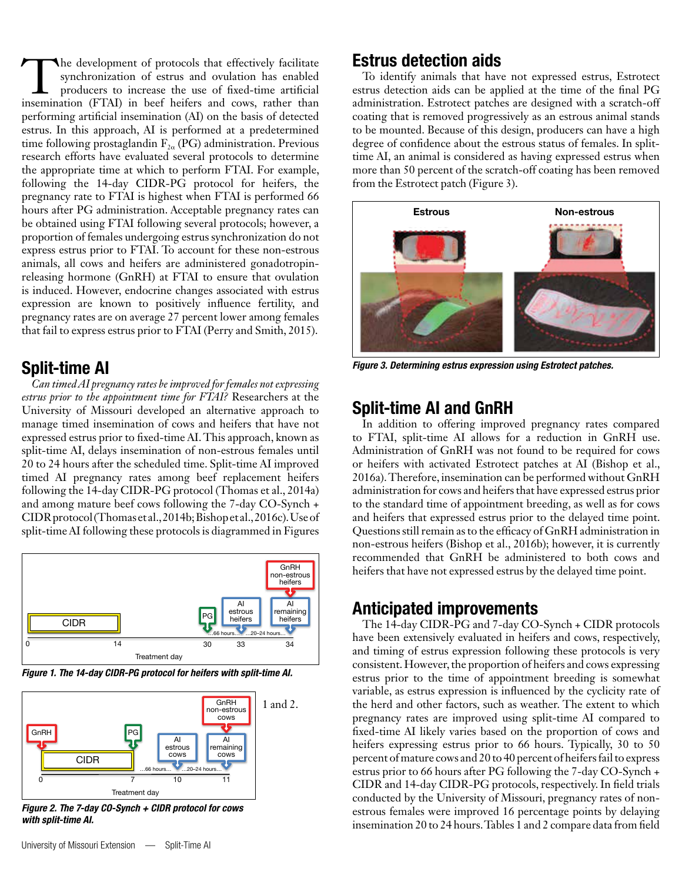The development of protocols that effectively facilitate synchronization of estrus and ovulation has enabled producers to increase the use of fixed-time artificial insemination (FTAI) in beef heifers and cows, rather than performing artificial insemination (AI) on the basis of detected estrus. In this approach, AI is performed at a predetermined time following prostaglandin  $F_{2\alpha}$  (PG) administration. Previous research efforts have evaluated several protocols to determine the appropriate time at which to perform FTAI. For example, following the 14-day CIDR-PG protocol for heifers, the pregnancy rate to FTAI is highest when FTAI is performed 66 hours after PG administration. Acceptable pregnancy rates can be obtained using FTAI following several protocols; however, a proportion of females undergoing estrus synchronization do not express estrus prior to FTAI. To account for these non-estrous animals, all cows and heifers are administered gonadotropinreleasing hormone (GnRH) at FTAI to ensure that ovulation is induced. However, endocrine changes associated with estrus expression are known to positively influence fertility, and pregnancy rates are on average 27 percent lower among females that fail to express estrus prior to FTAI (Perry and Smith, 2015).

#### Split-time AI

*Can timed AI pregnancy rates be improved for females not expressing estrus prior to the appointment time for FTAI?* Researchers at the University of Missouri developed an alternative approach to manage timed insemination of cows and heifers that have not expressed estrus prior to fixed-time AI. This approach, known as split-time AI, delays insemination of non-estrous females until 20 to 24 hours after the scheduled time. Split-time AI improved timed AI pregnancy rates among beef replacement heifers following the 14-day CIDR-PG protocol (Thomas et al., 2014a) and among mature beef cows following the 7-day CO-Synch + CIDR protocol (Thomas et al., 2014b; Bishop et al., 2016c). Use of split-time AI following these protocols is diagrammed in Figures



*Figure 1. The 14-day CIDR-PG protocol for heifers with split-time AI.*



*Figure 2. The 7-day CO-Synch + CIDR protocol for cows with split-time AI.*

#### Estrus detection aids

To identify animals that have not expressed estrus, Estrotect estrus detection aids can be applied at the time of the final PG administration. Estrotect patches are designed with a scratch-off coating that is removed progressively as an estrous animal stands to be mounted. Because of this design, producers can have a high degree of confidence about the estrous status of females. In splittime AI, an animal is considered as having expressed estrus when more than 50 percent of the scratch-off coating has been removed from the Estrotect patch (Figure 3).



*Figure 3. Determining estrus expression using Estrotect patches.*

#### Split-time AI and GnRH

In addition to offering improved pregnancy rates compared to FTAI, split-time AI allows for a reduction in GnRH use. Administration of GnRH was not found to be required for cows or heifers with activated Estrotect patches at AI (Bishop et al., 2016a). Therefore, insemination can be performed without GnRH administration for cows and heifers that have expressed estrus prior to the standard time of appointment breeding, as well as for cows and heifers that expressed estrus prior to the delayed time point. Questions still remain as to the efficacy of GnRH administration in non-estrous heifers (Bishop et al., 2016b); however, it is currently recommended that GnRH be administered to both cows and heifers that have not expressed estrus by the delayed time point.

#### Anticipated improvements

The 14-day CIDR-PG and 7-day CO-Synch + CIDR protocols have been extensively evaluated in heifers and cows, respectively, and timing of estrus expression following these protocols is very consistent. However, the proportion of heifers and cows expressing estrus prior to the time of appointment breeding is somewhat variable, as estrus expression is influenced by the cyclicity rate of the herd and other factors, such as weather. The extent to which pregnancy rates are improved using split-time AI compared to fixed-time AI likely varies based on the proportion of cows and heifers expressing estrus prior to 66 hours. Typically, 30 to 50 percent of mature cows and 20 to 40 percent of heifers fail to express estrus prior to 66 hours after PG following the 7-day CO-Synch + CIDR and 14-day CIDR-PG protocols, respectively. In field trials conducted by the University of Missouri, pregnancy rates of nonestrous females were improved 16 percentage points by delaying insemination 20 to 24 hours. Tables 1 and 2 compare data from field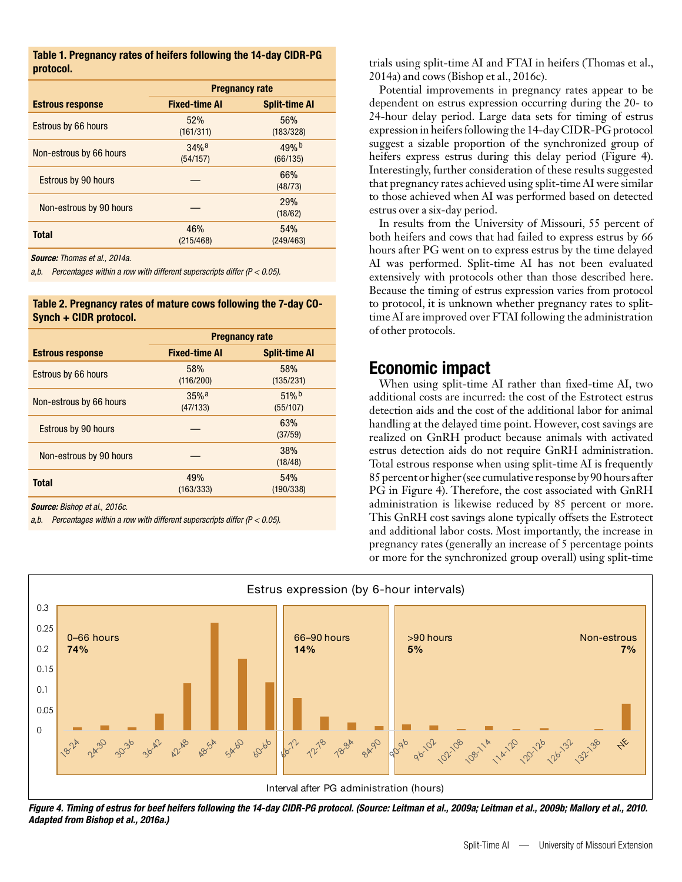| Table 1. Pregnancy rates of heifers following the 14-day CIDR-PG |  |  |
|------------------------------------------------------------------|--|--|
| protocol.                                                        |  |  |

|                            | <b>Pregnancy rate</b>          |                       |  |
|----------------------------|--------------------------------|-----------------------|--|
| <b>Estrous response</b>    | <b>Fixed-time AI</b>           | <b>Split-time AI</b>  |  |
| <b>Estrous by 66 hours</b> | 52%<br>(161/311)               | 56%<br>(183/328)      |  |
| Non-estrous by 66 hours    | $34%$ <sup>a</sup><br>(54/157) | 49% b<br>(66/135)     |  |
| <b>Estrous by 90 hours</b> |                                | 66%<br>(48/73)        |  |
| Non-estrous by 90 hours    |                                | <b>29%</b><br>(18/62) |  |
| <b>Total</b>               | 46%<br>(215/468)               | 54%<br>(249/463)      |  |

*Source: Thomas et al., 2014a.*

*a,b. Percentages within a row with different superscripts differ (P < 0.05).*

Table 2. Pregnancy rates of mature cows following the 7-day CO-Synch + CIDR protocol.

| <b>Pregnancy rate</b>          |                      |  |
|--------------------------------|----------------------|--|
| <b>Fixed-time AI</b>           | <b>Split-time AI</b> |  |
| 58%<br>(116/200)               | 58%<br>(135/231)     |  |
| $35%$ <sup>a</sup><br>(47/133) | 51%<br>(55/107)      |  |
|                                | 63%<br>(37/59)       |  |
| 38%<br>(18/48)                 |                      |  |
| 49%<br>(163/333)               | 54%<br>(190/338)     |  |
|                                |                      |  |

*Source: Bishop et al., 2016c.*

*a,b. Percentages within a row with different superscripts differ (P < 0.05).*

trials using split-time AI and FTAI in heifers (Thomas et al., 2014a) and cows (Bishop et al., 2016c).

Potential improvements in pregnancy rates appear to be dependent on estrus expression occurring during the 20- to 24-hour delay period. Large data sets for timing of estrus expression in heifers following the 14-day CIDR-PG protocol suggest a sizable proportion of the synchronized group of heifers express estrus during this delay period (Figure 4). Interestingly, further consideration of these results suggested that pregnancy rates achieved using split-time AI were similar to those achieved when AI was performed based on detected estrus over a six-day period.

In results from the University of Missouri, 55 percent of both heifers and cows that had failed to express estrus by 66 hours after PG went on to express estrus by the time delayed AI was performed. Split-time AI has not been evaluated extensively with protocols other than those described here. Because the timing of estrus expression varies from protocol to protocol, it is unknown whether pregnancy rates to splittime AI are improved over FTAI following the administration of other protocols.

#### Economic impact

When using split-time AI rather than fixed-time AI, two additional costs are incurred: the cost of the Estrotect estrus detection aids and the cost of the additional labor for animal handling at the delayed time point. However, cost savings are realized on GnRH product because animals with activated estrus detection aids do not require GnRH administration. Total estrous response when using split-time AI is frequently 85 percent or higher (see cumulative response by 90 hours after PG in Figure 4). Therefore, the cost associated with GnRH administration is likewise reduced by 85 percent or more. This GnRH cost savings alone typically offsets the Estrotect and additional labor costs. Most importantly, the increase in pregnancy rates (generally an increase of 5 percentage points or more for the synchronized group overall) using split-time



*Figure 4. Timing of estrus for beef heifers following the 14-day CIDR-PG protocol. (Source: Leitman et al., 2009a; Leitman et al., 2009b; Mallory et al., 2010. Adapted from Bishop et al., 2016a.)*